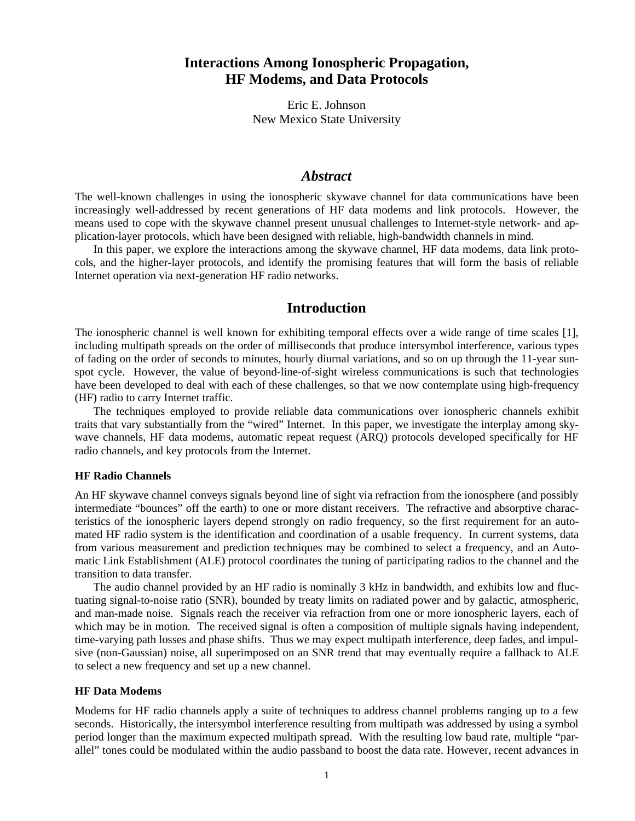# **Interactions Among Ionospheric Propagation, HF Modems, and Data Protocols**

Eric E. Johnson New Mexico State University

## *Abstract*

The well-known challenges in using the ionospheric skywave channel for data communications have been increasingly well-addressed by recent generations of HF data modems and link protocols. However, the means used to cope with the skywave channel present unusual challenges to Internet-style network- and application-layer protocols, which have been designed with reliable, high-bandwidth channels in mind.

In this paper, we explore the interactions among the skywave channel, HF data modems, data link protocols, and the higher-layer protocols, and identify the promising features that will form the basis of reliable Internet operation via next-generation HF radio networks.

## **Introduction**

The ionospheric channel is well known for exhibiting temporal effects over a wide range of time scales [1], including multipath spreads on the order of milliseconds that produce intersymbol interference, various types of fading on the order of seconds to minutes, hourly diurnal variations, and so on up through the 11-year sunspot cycle. However, the value of beyond-line-of-sight wireless communications is such that technologies have been developed to deal with each of these challenges, so that we now contemplate using high-frequency (HF) radio to carry Internet traffic.

The techniques employed to provide reliable data communications over ionospheric channels exhibit traits that vary substantially from the "wired" Internet. In this paper, we investigate the interplay among skywave channels, HF data modems, automatic repeat request (ARQ) protocols developed specifically for HF radio channels, and key protocols from the Internet.

#### **HF Radio Channels**

An HF skywave channel conveys signals beyond line of sight via refraction from the ionosphere (and possibly intermediate "bounces" off the earth) to one or more distant receivers. The refractive and absorptive characteristics of the ionospheric layers depend strongly on radio frequency, so the first requirement for an automated HF radio system is the identification and coordination of a usable frequency. In current systems, data from various measurement and prediction techniques may be combined to select a frequency, and an Automatic Link Establishment (ALE) protocol coordinates the tuning of participating radios to the channel and the transition to data transfer.

The audio channel provided by an HF radio is nominally 3 kHz in bandwidth, and exhibits low and fluctuating signal-to-noise ratio (SNR), bounded by treaty limits on radiated power and by galactic, atmospheric, and man-made noise. Signals reach the receiver via refraction from one or more ionospheric layers, each of which may be in motion. The received signal is often a composition of multiple signals having independent, time-varying path losses and phase shifts. Thus we may expect multipath interference, deep fades, and impulsive (non-Gaussian) noise, all superimposed on an SNR trend that may eventually require a fallback to ALE to select a new frequency and set up a new channel.

## **HF Data Modems**

Modems for HF radio channels apply a suite of techniques to address channel problems ranging up to a few seconds. Historically, the intersymbol interference resulting from multipath was addressed by using a symbol period longer than the maximum expected multipath spread. With the resulting low baud rate, multiple "parallel" tones could be modulated within the audio passband to boost the data rate. However, recent advances in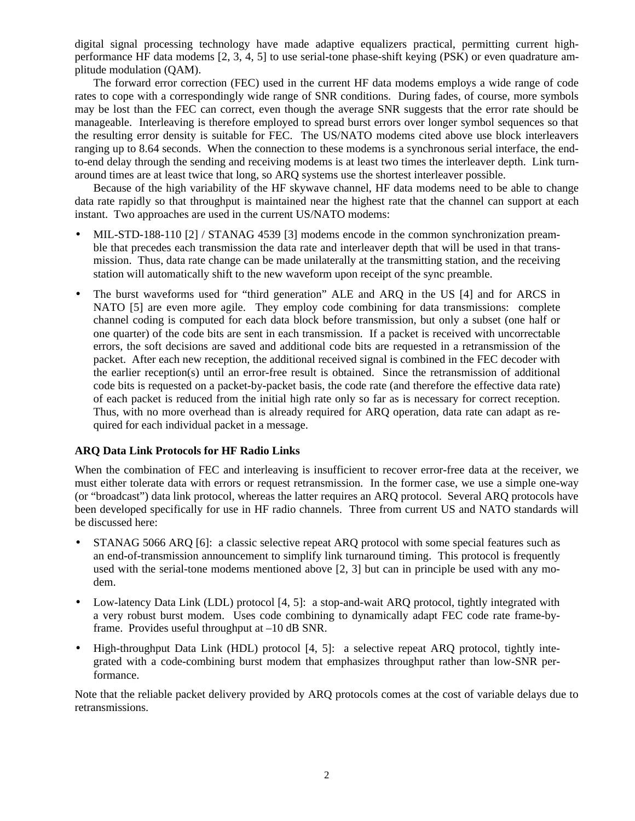digital signal processing technology have made adaptive equalizers practical, permitting current highperformance HF data modems [2, 3, 4, 5] to use serial-tone phase-shift keying (PSK) or even quadrature amplitude modulation (QAM).

The forward error correction (FEC) used in the current HF data modems employs a wide range of code rates to cope with a correspondingly wide range of SNR conditions. During fades, of course, more symbols may be lost than the FEC can correct, even though the average SNR suggests that the error rate should be manageable. Interleaving is therefore employed to spread burst errors over longer symbol sequences so that the resulting error density is suitable for FEC. The US/NATO modems cited above use block interleavers ranging up to 8.64 seconds. When the connection to these modems is a synchronous serial interface, the endto-end delay through the sending and receiving modems is at least two times the interleaver depth. Link turnaround times are at least twice that long, so ARQ systems use the shortest interleaver possible.

Because of the high variability of the HF skywave channel, HF data modems need to be able to change data rate rapidly so that throughput is maintained near the highest rate that the channel can support at each instant. Two approaches are used in the current US/NATO modems:

- MIL-STD-188-110 [2] / STANAG 4539 [3] modems encode in the common synchronization preamble that precedes each transmission the data rate and interleaver depth that will be used in that transmission. Thus, data rate change can be made unilaterally at the transmitting station, and the receiving station will automatically shift to the new waveform upon receipt of the sync preamble.
- The burst waveforms used for "third generation" ALE and ARQ in the US [4] and for ARCS in NATO [5] are even more agile. They employ code combining for data transmissions: complete channel coding is computed for each data block before transmission, but only a subset (one half or one quarter) of the code bits are sent in each transmission. If a packet is received with uncorrectable errors, the soft decisions are saved and additional code bits are requested in a retransmission of the packet. After each new reception, the additional received signal is combined in the FEC decoder with the earlier reception(s) until an error-free result is obtained. Since the retransmission of additional code bits is requested on a packet-by-packet basis, the code rate (and therefore the effective data rate) of each packet is reduced from the initial high rate only so far as is necessary for correct reception. Thus, with no more overhead than is already required for ARQ operation, data rate can adapt as required for each individual packet in a message.

### **ARQ Data Link Protocols for HF Radio Links**

When the combination of FEC and interleaving is insufficient to recover error-free data at the receiver, we must either tolerate data with errors or request retransmission. In the former case, we use a simple one-way (or "broadcast") data link protocol, whereas the latter requires an ARQ protocol. Several ARQ protocols have been developed specifically for use in HF radio channels. Three from current US and NATO standards will be discussed here:

- STANAG 5066 ARQ [6]: a classic selective repeat ARQ protocol with some special features such as an end-of-transmission announcement to simplify link turnaround timing. This protocol is frequently used with the serial-tone modems mentioned above [2, 3] but can in principle be used with any modem.
- Low-latency Data Link (LDL) protocol [4, 5]: a stop-and-wait ARQ protocol, tightly integrated with a very robust burst modem. Uses code combining to dynamically adapt FEC code rate frame-byframe. Provides useful throughput at –10 dB SNR.
- High-throughput Data Link (HDL) protocol [4, 5]: a selective repeat ARQ protocol, tightly integrated with a code-combining burst modem that emphasizes throughput rather than low-SNR performance.

Note that the reliable packet delivery provided by ARQ protocols comes at the cost of variable delays due to retransmissions.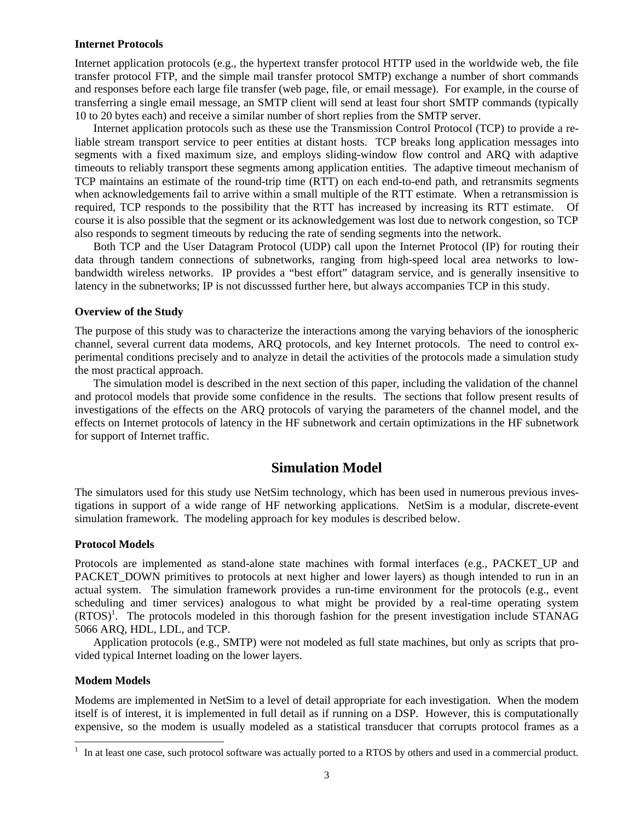#### **Internet Protocols**

Internet application protocols (e.g., the hypertext transfer protocol HTTP used in the worldwide web, the file transfer protocol FTP, and the simple mail transfer protocol SMTP) exchange a number of short commands and responses before each large file transfer (web page, file, or email message). For example, in the course of transferring a single email message, an SMTP client will send at least four short SMTP commands (typically 10 to 20 bytes each) and receive a similar number of short replies from the SMTP server.

Internet application protocols such as these use the Transmission Control Protocol (TCP) to provide a reliable stream transport service to peer entities at distant hosts. TCP breaks long application messages into segments with a fixed maximum size, and employs sliding-window flow control and ARQ with adaptive timeouts to reliably transport these segments among application entities. The adaptive timeout mechanism of TCP maintains an estimate of the round-trip time (RTT) on each end-to-end path, and retransmits segments when acknowledgements fail to arrive within a small multiple of the RTT estimate. When a retransmission is required, TCP responds to the possibility that the RTT has increased by increasing its RTT estimate. Of course it is also possible that the segment or its acknowledgement was lost due to network congestion, so TCP also responds to segment timeouts by reducing the rate of sending segments into the network.

Both TCP and the User Datagram Protocol (UDP) call upon the Internet Protocol (IP) for routing their data through tandem connections of subnetworks, ranging from high-speed local area networks to lowbandwidth wireless networks. IP provides a "best effort" datagram service, and is generally insensitive to latency in the subnetworks; IP is not discusssed further here, but always accompanies TCP in this study.

#### **Overview of the Study**

The purpose of this study was to characterize the interactions among the varying behaviors of the ionospheric channel, several current data modems, ARQ protocols, and key Internet protocols. The need to control experimental conditions precisely and to analyze in detail the activities of the protocols made a simulation study the most practical approach.

The simulation model is described in the next section of this paper, including the validation of the channel and protocol models that provide some confidence in the results. The sections that follow present results of investigations of the effects on the ARQ protocols of varying the parameters of the channel model, and the effects on Internet protocols of latency in the HF subnetwork and certain optimizations in the HF subnetwork for support of Internet traffic.

## **Simulation Model**

The simulators used for this study use NetSim technology, which has been used in numerous previous investigations in support of a wide range of HF networking applications. NetSim is a modular, discrete-event simulation framework. The modeling approach for key modules is described below.

#### **Protocol Models**

Protocols are implemented as stand-alone state machines with formal interfaces (e.g., PACKET\_UP and PACKET\_DOWN primitives to protocols at next higher and lower layers) as though intended to run in an actual system. The simulation framework provides a run-time environment for the protocols (e.g., event scheduling and timer services) analogous to what might be provided by a real-time operating system (RTOS)<sup>1</sup>. The protocols modeled in this thorough fashion for the present investigation include STANAG 5066 ARQ, HDL, LDL, and TCP.

Application protocols (e.g., SMTP) were not modeled as full state machines, but only as scripts that provided typical Internet loading on the lower layers.

#### **Modem Models**

l

Modems are implemented in NetSim to a level of detail appropriate for each investigation. When the modem itself is of interest, it is implemented in full detail as if running on a DSP. However, this is computationally expensive, so the modem is usually modeled as a statistical transducer that corrupts protocol frames as a

<sup>&</sup>lt;sup>1</sup> In at least one case, such protocol software was actually ported to a RTOS by others and used in a commercial product.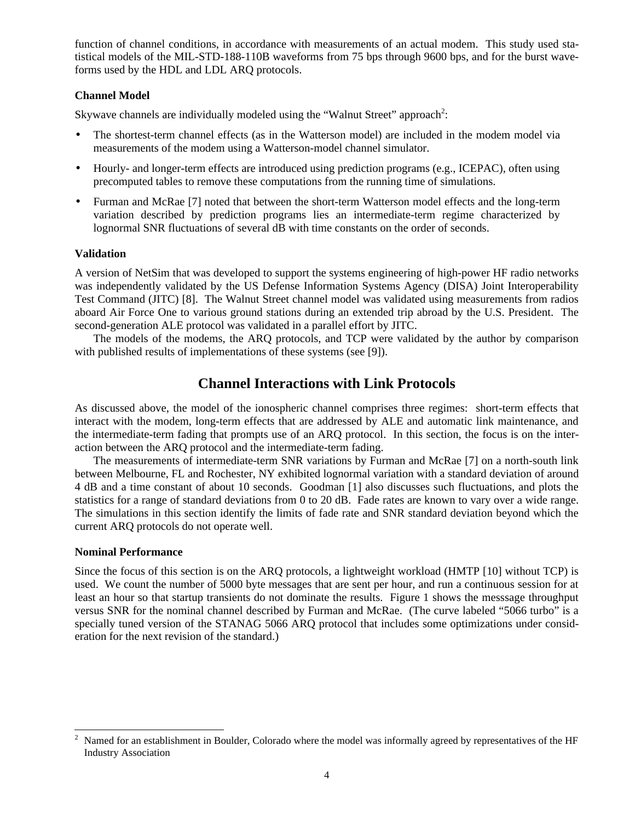function of channel conditions, in accordance with measurements of an actual modem. This study used statistical models of the MIL-STD-188-110B waveforms from 75 bps through 9600 bps, and for the burst waveforms used by the HDL and LDL ARQ protocols.

## **Channel Model**

Skywave channels are individually modeled using the "Walnut Street" approach<sup>2</sup>:

- The shortest-term channel effects (as in the Watterson model) are included in the modem model via measurements of the modem using a Watterson-model channel simulator.
- Hourly- and longer-term effects are introduced using prediction programs (e.g., ICEPAC), often using precomputed tables to remove these computations from the running time of simulations.
- Furman and McRae [7] noted that between the short-term Watterson model effects and the long-term variation described by prediction programs lies an intermediate-term regime characterized by lognormal SNR fluctuations of several dB with time constants on the order of seconds.

### **Validation**

A version of NetSim that was developed to support the systems engineering of high-power HF radio networks was independently validated by the US Defense Information Systems Agency (DISA) Joint Interoperability Test Command (JITC) [8]. The Walnut Street channel model was validated using measurements from radios aboard Air Force One to various ground stations during an extended trip abroad by the U.S. President. The second-generation ALE protocol was validated in a parallel effort by JITC.

The models of the modems, the ARQ protocols, and TCP were validated by the author by comparison with published results of implementations of these systems (see [9]).

# **Channel Interactions with Link Protocols**

As discussed above, the model of the ionospheric channel comprises three regimes: short-term effects that interact with the modem, long-term effects that are addressed by ALE and automatic link maintenance, and the intermediate-term fading that prompts use of an ARQ protocol. In this section, the focus is on the interaction between the ARQ protocol and the intermediate-term fading.

The measurements of intermediate-term SNR variations by Furman and McRae [7] on a north-south link between Melbourne, FL and Rochester, NY exhibited lognormal variation with a standard deviation of around 4 dB and a time constant of about 10 seconds. Goodman [1] also discusses such fluctuations, and plots the statistics for a range of standard deviations from 0 to 20 dB. Fade rates are known to vary over a wide range. The simulations in this section identify the limits of fade rate and SNR standard deviation beyond which the current ARQ protocols do not operate well.

### **Nominal Performance**

 $\overline{\phantom{a}}$ 

Since the focus of this section is on the ARQ protocols, a lightweight workload (HMTP [10] without TCP) is used. We count the number of 5000 byte messages that are sent per hour, and run a continuous session for at least an hour so that startup transients do not dominate the results. Figure 1 shows the messsage throughput versus SNR for the nominal channel described by Furman and McRae. (The curve labeled "5066 turbo" is a specially tuned version of the STANAG 5066 ARQ protocol that includes some optimizations under consideration for the next revision of the standard.)

Named for an establishment in Boulder, Colorado where the model was informally agreed by representatives of the HF Industry Association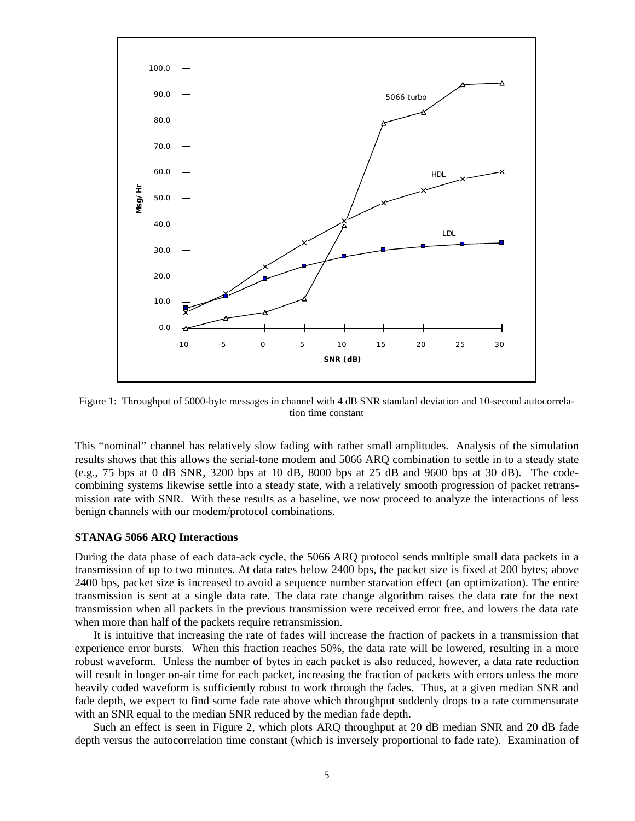

Figure 1: Throughput of 5000-byte messages in channel with 4 dB SNR standard deviation and 10-second autocorrelation time constant

This "nominal" channel has relatively slow fading with rather small amplitudes. Analysis of the simulation results shows that this allows the serial-tone modem and 5066 ARQ combination to settle in to a steady state (e.g., 75 bps at 0 dB SNR, 3200 bps at 10 dB, 8000 bps at 25 dB and 9600 bps at 30 dB). The codecombining systems likewise settle into a steady state, with a relatively smooth progression of packet retransmission rate with SNR. With these results as a baseline, we now proceed to analyze the interactions of less benign channels with our modem/protocol combinations.

#### **STANAG 5066 ARQ Interactions**

During the data phase of each data-ack cycle, the 5066 ARQ protocol sends multiple small data packets in a transmission of up to two minutes. At data rates below 2400 bps, the packet size is fixed at 200 bytes; above 2400 bps, packet size is increased to avoid a sequence number starvation effect (an optimization). The entire transmission is sent at a single data rate. The data rate change algorithm raises the data rate for the next transmission when all packets in the previous transmission were received error free, and lowers the data rate when more than half of the packets require retransmission.

It is intuitive that increasing the rate of fades will increase the fraction of packets in a transmission that experience error bursts. When this fraction reaches 50%, the data rate will be lowered, resulting in a more robust waveform. Unless the number of bytes in each packet is also reduced, however, a data rate reduction will result in longer on-air time for each packet, increasing the fraction of packets with errors unless the more heavily coded waveform is sufficiently robust to work through the fades. Thus, at a given median SNR and fade depth, we expect to find some fade rate above which throughput suddenly drops to a rate commensurate with an SNR equal to the median SNR reduced by the median fade depth.

Such an effect is seen in Figure 2, which plots ARQ throughput at 20 dB median SNR and 20 dB fade depth versus the autocorrelation time constant (which is inversely proportional to fade rate). Examination of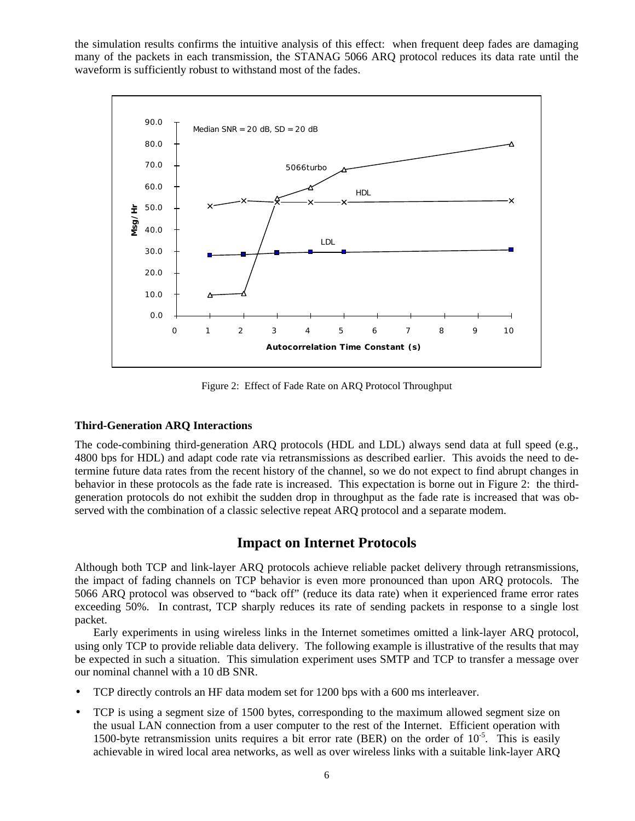the simulation results confirms the intuitive analysis of this effect: when frequent deep fades are damaging many of the packets in each transmission, the STANAG 5066 ARQ protocol reduces its data rate until the waveform is sufficiently robust to withstand most of the fades.



Figure 2: Effect of Fade Rate on ARQ Protocol Throughput

### **Third-Generation ARQ Interactions**

The code-combining third-generation ARQ protocols (HDL and LDL) always send data at full speed (e.g., 4800 bps for HDL) and adapt code rate via retransmissions as described earlier. This avoids the need to determine future data rates from the recent history of the channel, so we do not expect to find abrupt changes in behavior in these protocols as the fade rate is increased. This expectation is borne out in Figure 2: the thirdgeneration protocols do not exhibit the sudden drop in throughput as the fade rate is increased that was observed with the combination of a classic selective repeat ARQ protocol and a separate modem.

# **Impact on Internet Protocols**

Although both TCP and link-layer ARQ protocols achieve reliable packet delivery through retransmissions, the impact of fading channels on TCP behavior is even more pronounced than upon ARQ protocols. The 5066 ARQ protocol was observed to "back off" (reduce its data rate) when it experienced frame error rates exceeding 50%. In contrast, TCP sharply reduces its rate of sending packets in response to a single lost packet.

Early experiments in using wireless links in the Internet sometimes omitted a link-layer ARQ protocol, using only TCP to provide reliable data delivery. The following example is illustrative of the results that may be expected in such a situation. This simulation experiment uses SMTP and TCP to transfer a message over our nominal channel with a 10 dB SNR.

- TCP directly controls an HF data modem set for 1200 bps with a 600 ms interleaver.
- TCP is using a segment size of 1500 bytes, corresponding to the maximum allowed segment size on the usual LAN connection from a user computer to the rest of the Internet. Efficient operation with 1500-byte retransmission units requires a bit error rate (BER) on the order of  $10^{-5}$ . This is easily achievable in wired local area networks, as well as over wireless links with a suitable link-layer ARQ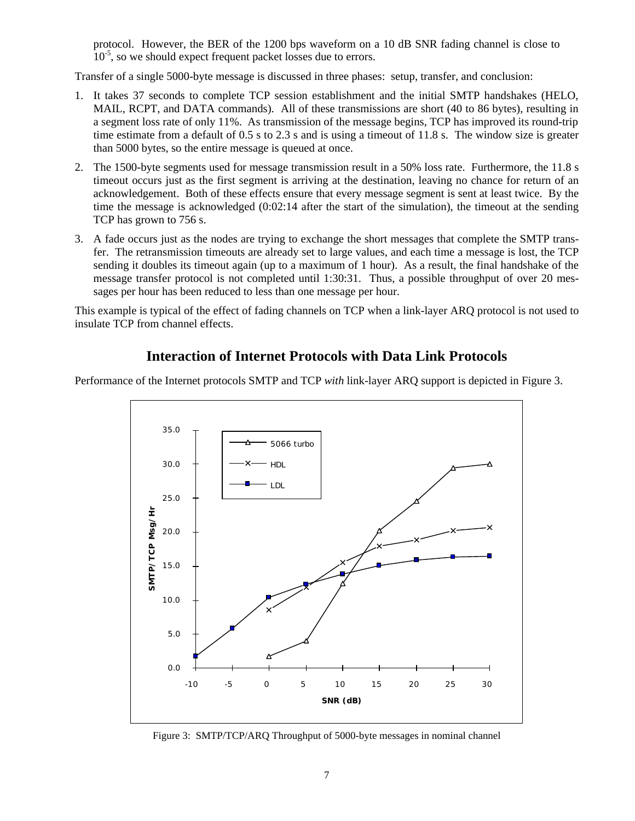protocol. However, the BER of the 1200 bps waveform on a 10 dB SNR fading channel is close to  $10^{-5}$ , so we should expect frequent packet losses due to errors.

Transfer of a single 5000-byte message is discussed in three phases: setup, transfer, and conclusion:

- 1. It takes 37 seconds to complete TCP session establishment and the initial SMTP handshakes (HELO, MAIL, RCPT, and DATA commands). All of these transmissions are short (40 to 86 bytes), resulting in a segment loss rate of only 11%. As transmission of the message begins, TCP has improved its round-trip time estimate from a default of 0.5 s to 2.3 s and is using a timeout of 11.8 s. The window size is greater than 5000 bytes, so the entire message is queued at once.
- 2. The 1500-byte segments used for message transmission result in a 50% loss rate. Furthermore, the 11.8 s timeout occurs just as the first segment is arriving at the destination, leaving no chance for return of an acknowledgement. Both of these effects ensure that every message segment is sent at least twice. By the time the message is acknowledged (0:02:14 after the start of the simulation), the timeout at the sending TCP has grown to 756 s.
- 3. A fade occurs just as the nodes are trying to exchange the short messages that complete the SMTP transfer. The retransmission timeouts are already set to large values, and each time a message is lost, the TCP sending it doubles its timeout again (up to a maximum of 1 hour). As a result, the final handshake of the message transfer protocol is not completed until 1:30:31. Thus, a possible throughput of over 20 messages per hour has been reduced to less than one message per hour.

This example is typical of the effect of fading channels on TCP when a link-layer ARQ protocol is not used to insulate TCP from channel effects.

# **Interaction of Internet Protocols with Data Link Protocols**

Performance of the Internet protocols SMTP and TCP *with* link-layer ARQ support is depicted in Figure 3.



Figure 3: SMTP/TCP/ARQ Throughput of 5000-byte messages in nominal channel